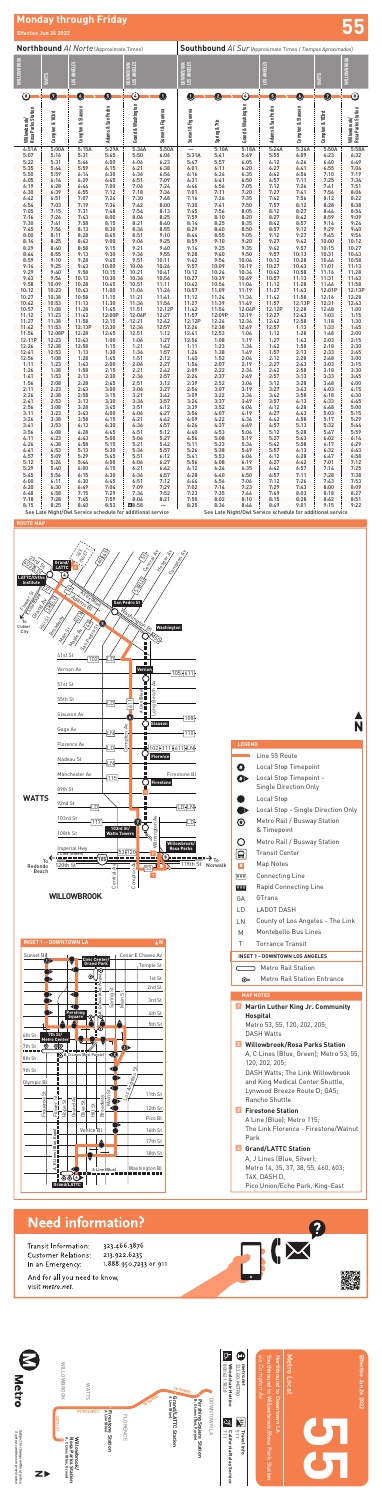Effective Jun 26 2022 **Effective Jun 26 2022**

|                                    | <b>Effective Juli 20 2022</b> |                                                            |                   |                                     |                   |                                                                    |                                                            |                    |                                             |                              |                 |                                    |  |
|------------------------------------|-------------------------------|------------------------------------------------------------|-------------------|-------------------------------------|-------------------|--------------------------------------------------------------------|------------------------------------------------------------|--------------------|---------------------------------------------|------------------------------|-----------------|------------------------------------|--|
|                                    |                               | <b>Northbound Al Norte (Approximate Times)</b>             |                   |                                     |                   | <b>Southbound Al Sur (Approximate Times / Tiempos Aproximados)</b> |                                                            |                    |                                             |                              |                 |                                    |  |
| WILLOWBROOK                        | <b>WATTS</b>                  | LOS ANGELES                                                |                   | GELES<br><b>NVOLNATO</b><br>LOS AND |                   | DOWNTOWN  <br>LOS ANGELES                                          |                                                            |                    | LOS ANGELES                                 |                              | <b>WATTS</b>    | <b>WILLOWBROOK</b>                 |  |
| $^\circledR$                       | Ø                             | O                                                          | 6                 | $\copyright$                        | $\bf o$           | O                                                                  | Ø                                                          | G                  | 6                                           | O                            | 0               | ◉                                  |  |
| Willowbrook/<br>Rosa Parks Station | Compton & 103rd               | Compton & Slauson                                          | Adams & San Pedro | Grand & Washington                  | Sunset & Figueroa | Sunset & Figueroa                                                  | Spring & 7th                                               | Grand & Washington | Adams & San Pedro                           | <b>Compton &amp; Slauson</b> | Compton & 103rd | Willowbrook/<br>Rosa Parks Station |  |
| 4:51A<br>5:07                      | 5:00A<br>5:16                 | 5:15A<br>5:31                                              | 5:29A<br>5:45     | 5:34A<br>5:50                       | 5:50A<br>6:06     | 5:31A                                                              | 5:10A<br>5:41                                              | 5:18A<br>5:49      | 5:24A<br>5:55                               | 5:36A<br>6:09                | 5:50A<br>6:23   | 5:58A<br>6:32                      |  |
| 5:22                               | 5:31                          | 5:46                                                       | 6:00              | 6:06                                | 6:23              | 5:47                                                               | 5:57                                                       | 6:05               |                                             | 6:26                         | 6:40            | 6:49                               |  |
| 5:35                               | 5:44                          | 5:59                                                       | 6:15              | 6:21                                | 6:38              | 6:01                                                               | 6:11                                                       | 6:20               | $\begin{array}{c} 6:12 \\ 6:27 \end{array}$ | 6:41                         | 6:55            | 7:04                               |  |
| 5:50<br>6:05                       | 5:59<br>6:14                  | 6:14<br>6:29                                               | 6:30<br>6:45      | 6:36<br>6:51                        | 6:54<br>7:09      | 6:16<br>6:31                                                       | 6:26<br>6:41                                               | 6:35<br>6:50       | 6:42<br>6:57                                | 6:56<br>7:11                 | 7:10<br>7:25    | 7:19<br>7:34                       |  |
| 6:19                               | 6:28                          | 6:44                                                       | 7:00              | 7:06                                | 7:24              | 6:46                                                               | 6:56                                                       | 7:05               | 7:12                                        | 7:26                         | 7:41            | 7:51                               |  |
| 6:30                               | 6:39                          | 6:55                                                       | 7:12              | 7:18                                | 7:36              | 7:01                                                               | 7:11                                                       | 7:20               | 7:27                                        | 7:41                         | 7:56            | 8:06                               |  |
| 6:42                               | 6:51                          | 7:07                                                       | 7:24              | 7:30                                | 7:48              | 7:16                                                               | 7:26                                                       | 7:35               | 7:42                                        | 7:56                         | 8:12            | 8:22                               |  |
| 6:54                               | 7:03                          | 7:19<br>7:31                                               | 7:36<br>7:48      | 7:42<br>7:54                        | 8:00<br>8:13      | 7:30<br>7:45                                                       | 7:41<br>7:56                                               | 7:50<br>8:05       | 7:57<br>8:12                                | 8:12                         | 8:28            | 8:38                               |  |
| 7:05<br>7:16                       | 7:15<br>7:26                  | 7:43                                                       | 8:00              | 8:06                                | 8:25              | 7:59                                                               | 8:10                                                       | 8:20               | 8:27                                        | 8:27<br>8:42                 | 8:44<br>8:59    | 8:54<br>9:09                       |  |
| 7:30                               | 7:41                          | 7:58                                                       | 8:15              | 8:21                                | 8:40              | 8:14                                                               | 8:25                                                       | 8:35               | 8:42                                        | 8:57                         | 9:14            | 9:24                               |  |
| 7:45                               | 7:56                          | 8:13                                                       | 8:30              | 8:36                                | 8:55              | 8:29                                                               | 8:40                                                       | 8:50               | 8:57                                        | 9:12                         | 9:29            | 9:40                               |  |
| 8:00                               | 8:11                          | 8:28                                                       | 8:45              | 8:51                                | 9:10              | 8:44                                                               | 8:55                                                       | 9:05               | 9:12                                        | 9:27                         | 9:45            | 9:56                               |  |
| 8:14<br>8:29                       | 8:25<br>8:40                  | 8:43<br>8:58                                               | 9:00<br>9:15      | 9:06<br>9:21                        | 9:25<br>9:40      | 8:59<br>9:14                                                       | 9:10<br>9:25                                               | 9:20<br>9:35       | 9:27<br>9:42                                | 9:42<br>9:57                 | 10:00<br>10:15  | 10:12<br>10:27                     |  |
| 8:44                               | 8:55                          | 9:13                                                       | 9:30              | 9:36                                | 9:55              | 9:28                                                               | 9:40                                                       | 9:50               | 9:57                                        | 10:13                        | 10:31           | 10:43                              |  |
| 8:59                               | 9:10                          | 9:28                                                       | 9:45              | 9:51                                | 10:11             | 9:42                                                               | 9:54                                                       | 10:04              | 10:12                                       | 10:28                        | 10:46           | 10:58                              |  |
| 9:14                               | 9:25                          | 9:43                                                       | 10:00             | 10:06                               | 10:26             | 9:57                                                               | 10:09                                                      | 10:19              | 10:27                                       | 10:43                        | 11:01           | 11:13                              |  |
| 9:29<br>9:43                       | 9:40<br>9:54                  | 9:58<br>10:13                                              | 10:15<br>10:30    | 10:21<br>10:36                      | 10:41<br>10:56    | 10:12<br>10:27                                                     | 10:24<br>10:39                                             | 10:34<br>10:49     | 10:42<br>10:57                              | 10:58<br>11:13               | 11:16<br>11:31  | 11:28<br>11:43                     |  |
| 9:58                               | 10:09                         | 10:28                                                      | 10:45             | 10:51                               | 11:11             | 10:42                                                              | 10:54                                                      | 11:04              | 11:12                                       | 11:28                        | 11:46           | 11:58                              |  |
| 10:12                              | 10:23                         | 10:43                                                      | 11:00             | 11:06                               | 11:26             | 10:57                                                              | 11:09                                                      | 11:19              | 11:27                                       | 11:43                        | 12:01P          | 12:13P                             |  |
| 10:27                              | 10:38                         | 10:58                                                      | 11:15             | 11:21                               | 11:41             | 11:12                                                              | 11:24                                                      | 11:34              | 11:42                                       | 11:58                        | 12:16           | 12:28                              |  |
| 10:42                              | 10:53                         | 11:13<br>11:28                                             | 11:30<br>11:45    | 11:36<br>11:51                      | 11:56<br>12:12P   | 11:27<br>11:42                                                     | 11:39<br>11:54                                             | 11:49<br>12:04P    | 11:57<br>12:12P                             | 12:13P<br>12:28              | 12:31           | 12:43                              |  |
| 10:57<br>11:12                     | 11:08<br>11:23                | 11:43                                                      | 12:00P            | 12:06P                              | 12:27             | 11:57                                                              | 12:09P                                                     | 12:19              | 12:27                                       | 12:43                        | 12:48<br>1:03   | 1:00<br>1:15                       |  |
| 11:27                              | 11:38                         | 11:58                                                      | 12:15             | 12:21                               | 12:42             | 12:12P                                                             | 12:24                                                      | 12:34              | 12:42                                       | 12:58                        | 1:18            | 1:30                               |  |
| 11:42                              | 11:53                         | 12:13P                                                     | 12:30             | 12:36                               | 12:57             | 12:26                                                              | 12:38                                                      | 12:49              | 12:57                                       | 1:13                         | 1:33            | 1:45                               |  |
| 11:56                              | 12:08P                        | 12:28                                                      | 12:45             | 12:51                               | 1:12              | 12:41                                                              | 12:53                                                      | 1:04               | 1:12                                        | 1:28                         | 1:48            | 2:00                               |  |
| 12:11P<br>12:26                    | 12:23<br>12:38                | 12:43<br>12:58                                             | 1:00<br>1:15      | 1:06<br>1:21                        | 1:27<br>1:42      | 12:56<br>1:11                                                      | 1:08<br>1:23                                               | 1:19<br>1:34       | 1:27<br>1:42                                | 1:43<br>1:58                 | 2:03<br>2:18    | 2:15<br>2:30                       |  |
| 12:41                              | 12:53                         | 1:13                                                       | 1:30              | 1:36                                | 1:57              | 1:26                                                               | 1:38                                                       | 1:49               | 1:57                                        | 2:13                         | 2:33            | 2:45                               |  |
| 12:56                              | 1:08                          | 1:28                                                       | 1:45              | 1:51                                | 2:12              | 1:40                                                               | 1:52                                                       | 2:04               | 2:12                                        | 2:28                         | 2:48            | 3:00                               |  |
| 1:11                               | 1:23                          | 1:43                                                       | 2:00              | 2:06                                | 2:27              | 1:54                                                               | 2:07                                                       | 2:19               | 2:27                                        | 2:43                         | 3:03            | 3:15                               |  |
| 1:26<br>1:41                       | 1:38<br>1:53                  | 1:58<br>2:13                                               | 2:15<br>2:30      | 2:21<br>2:36                        | 2:42<br>2:57      | 2:09<br>2:24                                                       | 2:22<br>2:37                                               | 2:34<br>2:49       | 2:42<br>2:57                                | 2:58<br>3:13                 | 3:18<br>3:33    | 3:30<br>3:45                       |  |
| 1:56                               | 2:08                          | 2:28                                                       | 2:45              | 2:51                                | 3:12              | 2:39                                                               | 2:52                                                       | 3:04               | 3:12                                        | 3:28                         | 3:48            | 4:00                               |  |
| 2:11                               | 2:23                          | 2:43                                                       | 3:00              | 3:06                                | 3:27              | 2:54                                                               | 3:07                                                       | 3:19               | 3:27                                        | 3:43                         | 4:03            | 4:15                               |  |
| 2:26                               | 2:38                          | 2:58                                                       | 3:15              | 3:21                                | 3:42              | 3:09                                                               | 3:22                                                       | 3:34               | 3:42                                        | 3:58                         | 4:18            | 4:30                               |  |
| 2:41                               | 2:53                          | 3:13                                                       | 3:30              | 3:36                                | 3:57              | 3:24                                                               | 3:37                                                       | 3:49               | 3:57                                        | 4:13                         | 4:33            | 4:45<br>5:00                       |  |
| 2:56<br>3:11                       | 3:08<br>3:23                  | 3:28<br>3:43                                               | 3:45<br>4:00      | 3:51<br>4:06                        | 4:12<br>4:27      | 3:39<br>3:54                                                       | 3:52<br>4:07                                               | 4:04<br>4:19       | 4:12<br>4:27                                | 4:28<br>4:43                 | 4:48<br>5:03    | 5:15                               |  |
| 3:26                               | 3:38                          | 3:58                                                       | 4:15              | 4:21                                | 4:42              | 4:09                                                               | 4:22                                                       | 4:34               | 4:42                                        | 4:58                         | 5:17            | 5:29                               |  |
| 3:41                               | 3:53                          | 4:13                                                       | 4:30              | 4:36                                | 4:57              | 4:24                                                               | 4:37                                                       | 4:49               | 4:57                                        | 5:13                         | 5:32            | 5:44                               |  |
| 3:56                               | 4:08                          | 4:28                                                       | 4:45              | 4:51                                | 5:12              | 4:40                                                               | 4:53                                                       | 5:04               | 5:12                                        | 5:28                         | 5:47            | 5:59                               |  |
| 4:11<br>4:26                       | 4:23<br>4:38                  | 4:43<br>4:58                                               | 5:00<br>5:15      | 5:06<br>5:21                        | 5:27<br>5:42      | 4:56<br>5:11                                                       | 5:08<br>5:23                                               | 5:19<br>5:34       | 5:27<br>5:42                                | 5:43<br>5:58                 | 6:02<br>6:17    | 6:14<br>6:29                       |  |
| 4:41                               | 4:53                          | 5:13                                                       | 5:30              | 5:36                                | 5:57              | 5:26                                                               | 5:38                                                       | 5:49               | 5:57                                        | 6:13                         | 6:32            | 6:43                               |  |
| 4:57                               | 5:09                          | 5:29                                                       | 5:45              | 5:51                                | 6:12              | 5:41                                                               | 5:53                                                       | 6:04               | 6:12                                        | 6:28                         | 6:47            | 6:58                               |  |
| 5:12                               | 5:24                          | 5:44                                                       | 6:00              | 6:06                                | 6:27              | 5:56                                                               | 6:08                                                       | 6:19               | 6:27                                        | 6:42                         | 7:01            | 7:12                               |  |
| 5:29                               | 5:40                          | 6:00                                                       | 6:15              | 6:21                                | 6:42              | 6:12                                                               | 6:24                                                       | 6:35               | 6:42                                        | 6:57                         | 7:14            | 7:25                               |  |
| 5:45<br>6:00                       | 5:56<br>6:11                  | 6:15<br>6:30                                               | 6:30<br>6:45      | 6:36<br>6:51                        | 6:57<br>7:12      | 6:28<br>6:44                                                       | 6:40<br>6:56                                               | 6:50<br>7:06       | 6:57<br>7:12                                | 7:11<br>7:26                 | 7:28<br>7:43    | 7:38<br>7:53                       |  |
| 6:20                               | 6:30                          | 6:49                                                       | 7:04              | 7:09                                | 7:29              | 7:02                                                               | 7:14                                                       | 7:23               | 7:29                                        | 7:43                         | 8:00            | 8:09                               |  |
| 6:48                               | 6:58                          | 7:15                                                       | 7:29              | 7:34                                | 7:52              | 7:23                                                               | 7:35                                                       | 7:44               | 7:49                                        | 8:03                         | 8:18            | 8:27                               |  |
| 7:18                               | 7:28                          | 7:45                                                       | 7:59              | 8:04                                | 8:21              | 7:50                                                               | 8:02                                                       | 8:10               | 8:15                                        | 8:28                         | 8:42            | 8:51                               |  |
| 8:15                               | 8:25                          | 8:40                                                       | 8:53              | △8:58                               | —                 | 8:25                                                               | 8:36                                                       | 8:44               | 8:49                                        | 9:01                         | 9:15            | 9:22                               |  |
|                                    |                               | See Late Night/Owl Service schedule for additional service |                   |                                     |                   |                                                                    | See Late Night/Owl Service schedule for additional service |                    |                                             |                              |                 |                                    |  |

## **55 Monday through Friday**

**Effective Jun 26 2022**



Pico Union/Echo Park, King-East



| <b>LEGEND</b><br>O<br>Ð<br>O<br>$\bullet$<br>4<br>오<br>#<br>###<br>###<br>GΑ | Line 55 Route<br><b>Local Stop Timepoint</b><br>Local Stop Timepoint -<br>Single Direction Only<br>Local Stop<br>Local Stop - Single Direction Only<br>Metro Rail / Busway Station<br>& Timepoint<br>Metro Rail / Busway Station<br><b>Transit Center</b><br>Map Notes<br><b>Connecting Line</b><br><b>Rapid Connecting Line</b> |  |  |  |  |  |  |  |
|------------------------------------------------------------------------------|----------------------------------------------------------------------------------------------------------------------------------------------------------------------------------------------------------------------------------------------------------------------------------------------------------------------------------|--|--|--|--|--|--|--|
|                                                                              |                                                                                                                                                                                                                                                                                                                                  |  |  |  |  |  |  |  |
|                                                                              |                                                                                                                                                                                                                                                                                                                                  |  |  |  |  |  |  |  |
|                                                                              |                                                                                                                                                                                                                                                                                                                                  |  |  |  |  |  |  |  |
|                                                                              |                                                                                                                                                                                                                                                                                                                                  |  |  |  |  |  |  |  |
|                                                                              |                                                                                                                                                                                                                                                                                                                                  |  |  |  |  |  |  |  |
|                                                                              |                                                                                                                                                                                                                                                                                                                                  |  |  |  |  |  |  |  |
|                                                                              |                                                                                                                                                                                                                                                                                                                                  |  |  |  |  |  |  |  |
|                                                                              |                                                                                                                                                                                                                                                                                                                                  |  |  |  |  |  |  |  |
|                                                                              |                                                                                                                                                                                                                                                                                                                                  |  |  |  |  |  |  |  |
|                                                                              |                                                                                                                                                                                                                                                                                                                                  |  |  |  |  |  |  |  |
|                                                                              |                                                                                                                                                                                                                                                                                                                                  |  |  |  |  |  |  |  |
|                                                                              |                                                                                                                                                                                                                                                                                                                                  |  |  |  |  |  |  |  |
|                                                                              |                                                                                                                                                                                                                                                                                                                                  |  |  |  |  |  |  |  |
|                                                                              | GTrans                                                                                                                                                                                                                                                                                                                           |  |  |  |  |  |  |  |
| I D                                                                          | <b>LADOT DASH</b>                                                                                                                                                                                                                                                                                                                |  |  |  |  |  |  |  |
| LN                                                                           | County of Los Angeles - The Link                                                                                                                                                                                                                                                                                                 |  |  |  |  |  |  |  |
| М                                                                            | Montebello Bus Lines                                                                                                                                                                                                                                                                                                             |  |  |  |  |  |  |  |
| т                                                                            | <b>Torrance Transit</b>                                                                                                                                                                                                                                                                                                          |  |  |  |  |  |  |  |
| <b>INSET 1 - DOWNTOWN LOS ANGELES</b>                                        |                                                                                                                                                                                                                                                                                                                                  |  |  |  |  |  |  |  |
|                                                                              | Metro Rail Station                                                                                                                                                                                                                                                                                                               |  |  |  |  |  |  |  |
| ⊛                                                                            | <b>Metro Rail Station Entrance</b>                                                                                                                                                                                                                                                                                               |  |  |  |  |  |  |  |
|                                                                              |                                                                                                                                                                                                                                                                                                                                  |  |  |  |  |  |  |  |
| <b>MAP NOTES</b>                                                             |                                                                                                                                                                                                                                                                                                                                  |  |  |  |  |  |  |  |
| $\mathbf{1}$                                                                 | <b>Martin Luther King Jr. Community</b><br><b>Hospital</b>                                                                                                                                                                                                                                                                       |  |  |  |  |  |  |  |
|                                                                              | Metro 53, 55, 120, 202, 205;                                                                                                                                                                                                                                                                                                     |  |  |  |  |  |  |  |
|                                                                              | <b>DASH Watts</b>                                                                                                                                                                                                                                                                                                                |  |  |  |  |  |  |  |
| $\mathbf{2}$                                                                 | <b>Willowbrook/Rosa Parks Station</b>                                                                                                                                                                                                                                                                                            |  |  |  |  |  |  |  |
|                                                                              | A, C Lines (Blue, Green); Metro 53, 55,                                                                                                                                                                                                                                                                                          |  |  |  |  |  |  |  |
|                                                                              | 120, 202, 205;                                                                                                                                                                                                                                                                                                                   |  |  |  |  |  |  |  |
|                                                                              | DASH Watts; The Link Willowbrook                                                                                                                                                                                                                                                                                                 |  |  |  |  |  |  |  |
| and King Medical Center Shuttle,                                             |                                                                                                                                                                                                                                                                                                                                  |  |  |  |  |  |  |  |
| Lynwood Breeze Route D; GA5;<br>Rancho Shuttle                               |                                                                                                                                                                                                                                                                                                                                  |  |  |  |  |  |  |  |
|                                                                              |                                                                                                                                                                                                                                                                                                                                  |  |  |  |  |  |  |  |
|                                                                              |                                                                                                                                                                                                                                                                                                                                  |  |  |  |  |  |  |  |
|                                                                              | The Link Florence - Firestone/Walnut                                                                                                                                                                                                                                                                                             |  |  |  |  |  |  |  |
| Park                                                                         |                                                                                                                                                                                                                                                                                                                                  |  |  |  |  |  |  |  |
|                                                                              |                                                                                                                                                                                                                                                                                                                                  |  |  |  |  |  |  |  |
|                                                                              | 4 Grand/LATTC Station                                                                                                                                                                                                                                                                                                            |  |  |  |  |  |  |  |
| T4X. DASH D.                                                                 | A, J Lines (Blue, Silver);<br>Metro 14, 35, 37, 38, 55, 460, 603;                                                                                                                                                                                                                                                                |  |  |  |  |  |  |  |
|                                                                              | <b>Firestone Station</b><br>A Line (Blue); Metro 115;                                                                                                                                                                                                                                                                            |  |  |  |  |  |  |  |

 $\mathbf{\bar{N}}$ 





## **Need information?**

Transit Information: Customer Relations: In an Emergency:

323.466.3876 213.922.6235 1.888.950.7233 or 911

And for all you need to know, visit metro.net.

Subject to change without notice *Sujeto a cambios sin previo aviso*

Subject to change without notice<br>Sujeto a cambios sin previo aviso

Metro

**metro.net**

 $F$   $\bullet$ 

**Travel Info**





*via Compton Av* Southbound to Willowbrook/Rosa Park Station Northbound to Downtown LA

# Metro Local